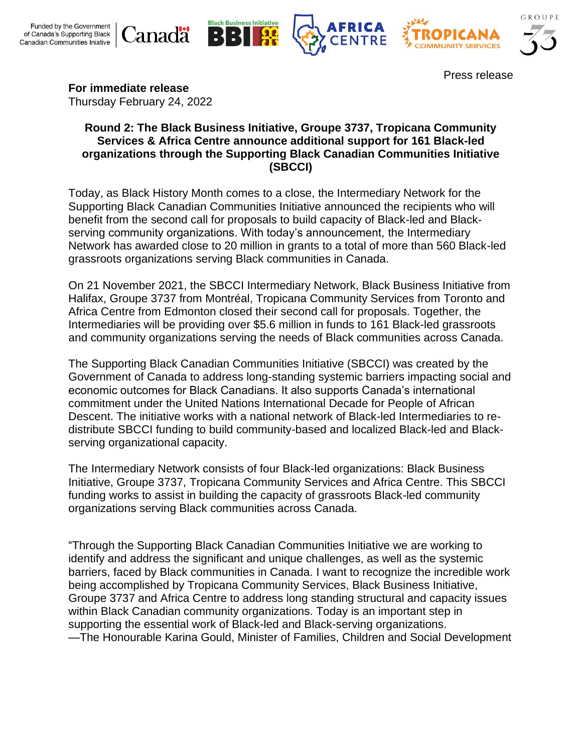







Press release

**For immediate release**

Thursday February 24, 2022

### **Round 2: The Black Business Initiative, Groupe 3737, Tropicana Community Services & Africa Centre announce additional support for 161 Black-led organizations through the Supporting Black Canadian Communities Initiative (SBCCI)**

Today, as Black History Month comes to a close, the Intermediary Network for the Supporting Black Canadian Communities Initiative announced the recipients who will benefit from the second call for proposals to build capacity of Black-led and Blackserving community organizations. With today's announcement, the Intermediary Network has awarded close to 20 million in grants to a total of more than 560 Black-led grassroots organizations serving Black communities in Canada.

On 21 November 2021, the SBCCI Intermediary Network, Black Business Initiative from Halifax, Groupe 3737 from Montréal, Tropicana Community Services from Toronto and Africa Centre from Edmonton closed their second call for proposals. Together, the Intermediaries will be providing over \$5.6 million in funds to 161 Black-led grassroots and community organizations serving the needs of Black communities across Canada.

The Supporting Black Canadian Communities Initiative (SBCCI) was created by the Government of Canada to address long-standing systemic barriers impacting social and economic outcomes for Black Canadians. It also supports Canada's international commitment under the United Nations International Decade for People of African Descent. The initiative works with a national network of Black-led Intermediaries to redistribute SBCCI funding to build community-based and localized Black-led and Blackserving organizational capacity.

The Intermediary Network consists of four Black-led organizations: Black Business Initiative, Groupe 3737, Tropicana Community Services and Africa Centre. This SBCCI funding works to assist in building the capacity of grassroots Black-led community organizations serving Black communities across Canada.

"Through the Supporting Black Canadian Communities Initiative we are working to identify and address the significant and unique challenges, as well as the systemic barriers, faced by Black communities in Canada. I want to recognize the incredible work being accomplished by Tropicana Community Services, Black Business Initiative, Groupe 3737 and Africa Centre to address long standing structural and capacity issues within Black Canadian community organizations. Today is an important step in supporting the essential work of Black-led and Black-serving organizations. —The Honourable Karina Gould, Minister of Families, Children and Social Development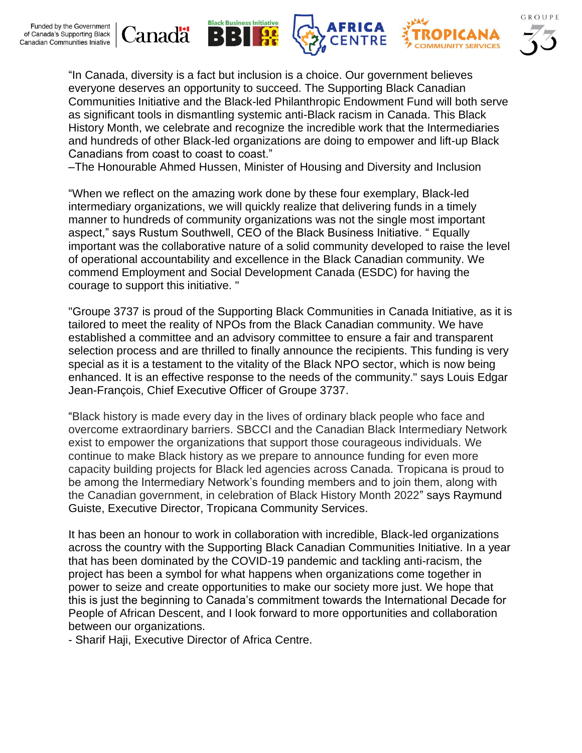

"In Canada, diversity is a fact but inclusion is a choice. Our government believes everyone deserves an opportunity to succeed. The Supporting Black Canadian Communities Initiative and the Black-led Philanthropic Endowment Fund will both serve as significant tools in dismantling systemic anti-Black racism in Canada. This Black History Month, we celebrate and recognize the incredible work that the Intermediaries and hundreds of other Black-led organizations are doing to empower and lift-up Black Canadians from coast to coast to coast."

**CENTRE** 

–The Honourable Ahmed Hussen, Minister of Housing and Diversity and Inclusion

**Black Business Initiative** 

**GR** 

B

В

anadä

"When we reflect on the amazing work done by these four exemplary, Black-led intermediary organizations, we will quickly realize that delivering funds in a timely manner to hundreds of community organizations was not the single most important aspect," says Rustum Southwell, CEO of the Black Business Initiative. " Equally important was the collaborative nature of a solid community developed to raise the level of operational accountability and excellence in the Black Canadian community. We commend Employment and Social Development Canada (ESDC) for having the courage to support this initiative. "

"Groupe 3737 is proud of the Supporting Black Communities in Canada Initiative, as it is tailored to meet the reality of NPOs from the Black Canadian community. We have established a committee and an advisory committee to ensure a fair and transparent selection process and are thrilled to finally announce the recipients. This funding is very special as it is a testament to the vitality of the Black NPO sector, which is now being enhanced. It is an effective response to the needs of the community." says Louis Edgar Jean-François, Chief Executive Officer of Groupe 3737.

"Black history is made every day in the lives of ordinary black people who face and overcome extraordinary barriers. SBCCI and the Canadian Black Intermediary Network exist to empower the organizations that support those courageous individuals. We continue to make Black history as we prepare to announce funding for even more capacity building projects for Black led agencies across Canada. Tropicana is proud to be among the Intermediary Network's founding members and to join them, along with the Canadian government, in celebration of Black History Month 2022" says Raymund Guiste, Executive Director, Tropicana Community Services.

It has been an honour to work in collaboration with incredible, Black-led organizations across the country with the Supporting Black Canadian Communities Initiative. In a year that has been dominated by the COVID-19 pandemic and tackling anti-racism, the project has been a symbol for what happens when organizations come together in power to seize and create opportunities to make our society more just. We hope that this is just the beginning to Canada's commitment towards the International Decade for People of African Descent, and I look forward to more opportunities and collaboration between our organizations.

- Sharif Haji, Executive Director of Africa Centre.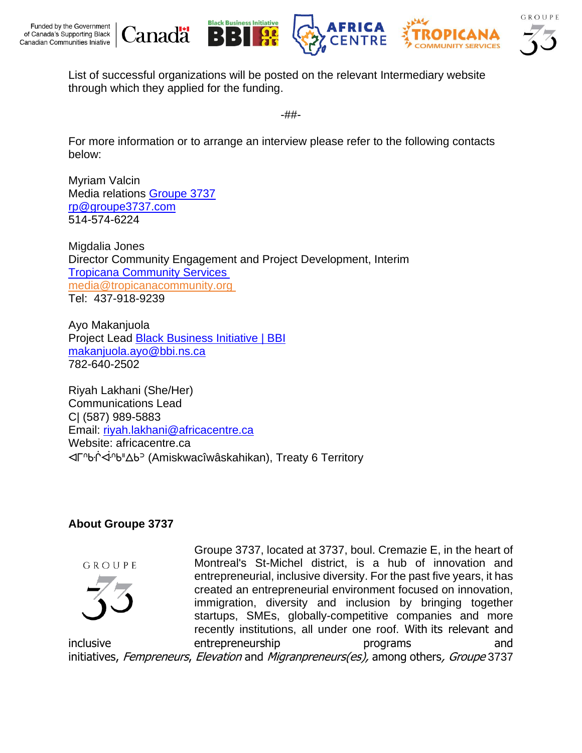







List of successful organizations will be posted on the relevant Intermediary website through which they applied for the funding.

-##-

For more information or to arrange an interview please refer to the following contacts below:

Myriam Valcin Media relations [Groupe 3737](https://www.groupe3737.com/) [rp@groupe3737.com](mailto:rp@groupe3737.com) 514-574-6224

anadä

Migdalia Jones Director Community Engagement and Project Development, Interim [Tropicana Community Services](https://tropicanacommunity.org/) [media@tropicanacommunity.org](mailto:media@tropicanacommunity.org) Tel: 437-918-9239

Ayo Makanjuola Project Lead [Black Business Initiative | BBI](https://www.bbi.ca/) [makanjuola.ayo@bbi.ns.ca](mailto:makanjuola.ayo@bbi.ns.ca) 782-640-2502

Riyah Lakhani (She/Her) Communications Lead C| (587) 989-5883 Email: [riyah.lakhani@africacentre.ca](mailto:riyah.lakhani@africacentre.ca) Website: africacentre.ca ᐊᒥᐢᑿᒌᐚᐢᑲᐦᐃᑲᐣ (Amiskwacîwâskahikan), Treaty 6 Territory

# **About Groupe 3737**





Groupe 3737, located at 3737, boul. Cremazie E, in the heart of Montreal's St-Michel district, is a hub of innovation and entrepreneurial, inclusive diversity. For the past five years, it has created an entrepreneurial environment focused on innovation, immigration, diversity and inclusion by bringing together startups, SMEs, globally-competitive companies and more recently institutions, all under one roof. With its relevant and inclusive entrepreneurship programs and initiatives, Fempreneurs, Elevation and Migranpreneurs(es), among others, Groupe 3737